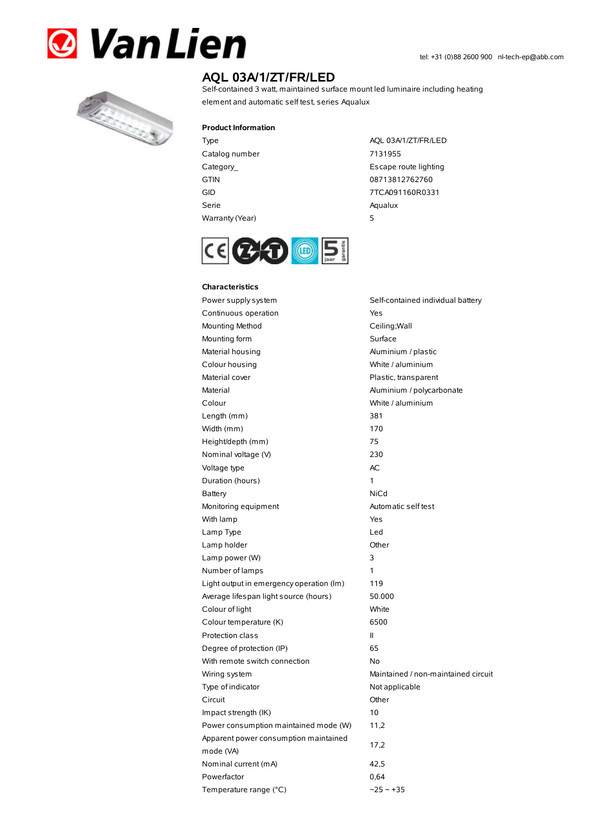



# **AQL 03A/1/ZT/FR/LED**

Self-contained 3 watt, maintained surface mount led luminaire including heating element and automatic self test, series Aqualux

### **Product Information**

Catalog number 7131955 GTIN 08713812762760 Serie Aqualux Warranty(Year) 5

Type AQL 03A/1/ZT/FR/LED Category\_ **Escape route lighting** GID 7TCA091160R0331



#### **Characteristics**

Power supply system Self-contained individual battery Continuous operation The Continuous operation Mounting Method Ceiling; Wall Mounting form **Surface** Material housing **Aluminium / plastic** Colour housing White / aluminium Material cover **Plastic, transparent** Material Material Aluminium / polycarbonate Colour White / aluminium Length (mm) 381 Width (mm) 170 Height/depth (mm) 75 Nominal voltage (V) 230 Voltage type and a set of the AC Duration (hours) 1 Battery NiCd Monitoring equipment Automatic self test With lamp **Yes** Lamp Type Led Lamp holder **Community** Chern Community Community Chern Chern Chern Chern Chern Chern Chern Chern Chern Chern Chern Chern Chern Chern Chern Chern Chern Chern Chern Chern Chern Chern Chern Chern Chern Chern Chern Chern Cher Lamp power (W) 3 Number of lamps 1 Light output in emergency operation (lm) 119 Average lifespan light source (hours) 50.000 Colour of light White Colour temperature (K) 6500 Protection class II Degree of protection (IP) 65 With remote switch connection No Wiring system **Maintained** / non-maintained circuit Type of indicator Not applicable Circuit Other Impact strength (IK) 10 Power consumption maintained mode (W) 11,2 Apparent power consumption maintained mode (VA) 17,2 Nominal current (mA) 42,5 Powerfactor 0,64 Temperature range (°C)  $\sim$ 25 ~ +35